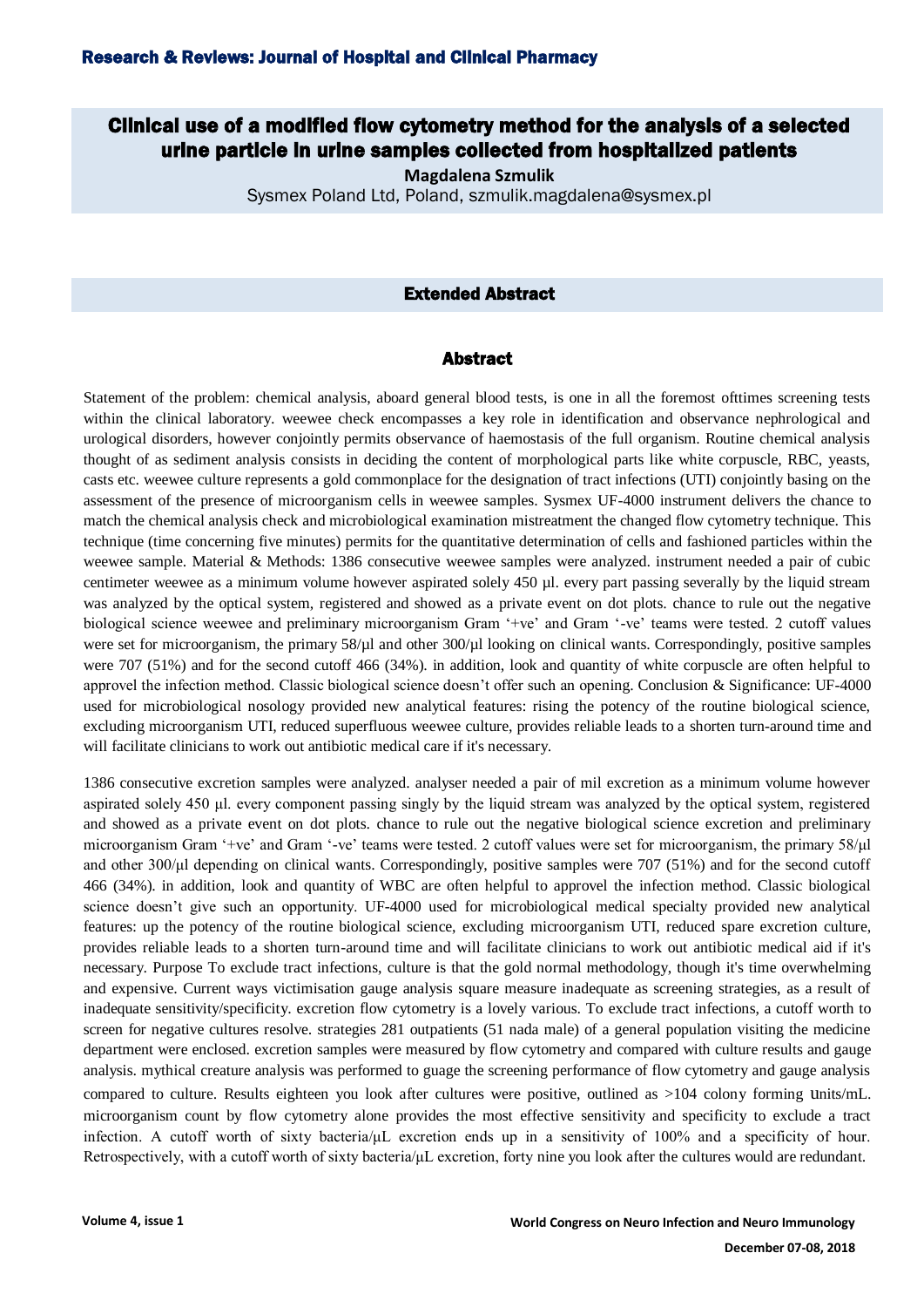# Clinical use of a modified flow cytometry method for the analysis of a selected urine particle in urine samples collected from hospitalized patients

**Magdalena Szmulik**

Sysmex Poland Ltd, Poland, szmulik.magdalena@sysmex.pl

## Extended Abstract

#### Abstract

Statement of the problem: chemical analysis, aboard general blood tests, is one in all the foremost ofttimes screening tests within the clinical laboratory. weewee check encompasses a key role in identification and observance nephrological and urological disorders, however conjointly permits observance of haemostasis of the full organism. Routine chemical analysis thought of as sediment analysis consists in deciding the content of morphological parts like white corpuscle, RBC, yeasts, casts etc. weewee culture represents a gold commonplace for the designation of tract infections (UTI) conjointly basing on the assessment of the presence of microorganism cells in weewee samples. Sysmex UF-4000 instrument delivers the chance to match the chemical analysis check and microbiological examination mistreatment the changed flow cytometry technique. This technique (time concerning five minutes) permits for the quantitative determination of cells and fashioned particles within the weewee sample. Material & Methods: 1386 consecutive weewee samples were analyzed. instrument needed a pair of cubic centimeter weewee as a minimum volume however aspirated solely 450 µl. every part passing severally by the liquid stream was analyzed by the optical system, registered and showed as a private event on dot plots. chance to rule out the negative biological science weewee and preliminary microorganism Gram '+ve' and Gram '-ve' teams were tested. 2 cutoff values were set for microorganism, the primary 58/µl and other 300/µl looking on clinical wants. Correspondingly, positive samples were 707 (51%) and for the second cutoff 466 (34%). in addition, look and quantity of white corpuscle are often helpful to approvel the infection method. Classic biological science doesn't offer such an opening. Conclusion & Significance: UF-4000 used for microbiological nosology provided new analytical features: rising the potency of the routine biological science, excluding microorganism UTI, reduced superfluous weewee culture, provides reliable leads to a shorten turn-around time and will facilitate clinicians to work out antibiotic medical care if it's necessary.

1386 consecutive excretion samples were analyzed. analyser needed a pair of mil excretion as a minimum volume however aspirated solely 450 μl. every component passing singly by the liquid stream was analyzed by the optical system, registered and showed as a private event on dot plots. chance to rule out the negative biological science excretion and preliminary microorganism Gram '+ve' and Gram '-ve' teams were tested. 2 cutoff values were set for microorganism, the primary 58/μl and other 300/μl depending on clinical wants. Correspondingly, positive samples were 707 (51%) and for the second cutoff 466 (34%). in addition, look and quantity of WBC are often helpful to approvel the infection method. Classic biological science doesn't give such an opportunity. UF-4000 used for microbiological medical specialty provided new analytical features: up the potency of the routine biological science, excluding microorganism UTI, reduced spare excretion culture, provides reliable leads to a shorten turn-around time and will facilitate clinicians to work out antibiotic medical aid if it's necessary. Purpose To exclude tract infections, culture is that the gold normal methodology, though it's time overwhelming and expensive. Current ways victimisation gauge analysis square measure inadequate as screening strategies, as a result of inadequate sensitivity/specificity. excretion flow cytometry is a lovely various. To exclude tract infections, a cutoff worth to screen for negative cultures resolve. strategies 281 outpatients (51 nada male) of a general population visiting the medicine department were enclosed. excretion samples were measured by flow cytometry and compared with culture results and gauge analysis. mythical creature analysis was performed to guage the screening performance of flow cytometry and gauge analysis compared to culture. Results eighteen you look after cultures were positive, outlined as >104 colony forming units/mL. microorganism count by flow cytometry alone provides the most effective sensitivity and specificity to exclude a tract infection. A cutoff worth of sixty bacteria/μL excretion ends up in a sensitivity of 100% and a specificity of hour. Retrospectively, with a cutoff worth of sixty bacteria/μL excretion, forty nine you look after the cultures would are redundant.